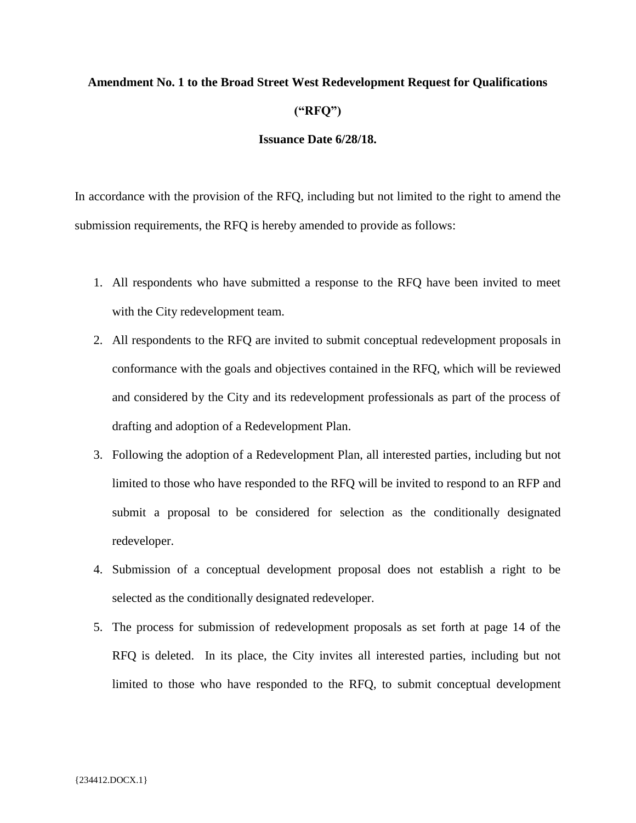## **Amendment No. 1 to the Broad Street West Redevelopment Request for Qualifications ("RFQ")**

## **Issuance Date 6/28/18.**

In accordance with the provision of the RFQ, including but not limited to the right to amend the submission requirements, the RFQ is hereby amended to provide as follows:

- 1. All respondents who have submitted a response to the RFQ have been invited to meet with the City redevelopment team.
- 2. All respondents to the RFQ are invited to submit conceptual redevelopment proposals in conformance with the goals and objectives contained in the RFQ, which will be reviewed and considered by the City and its redevelopment professionals as part of the process of drafting and adoption of a Redevelopment Plan.
- 3. Following the adoption of a Redevelopment Plan, all interested parties, including but not limited to those who have responded to the RFQ will be invited to respond to an RFP and submit a proposal to be considered for selection as the conditionally designated redeveloper.
- 4. Submission of a conceptual development proposal does not establish a right to be selected as the conditionally designated redeveloper.
- 5. The process for submission of redevelopment proposals as set forth at page 14 of the RFQ is deleted. In its place, the City invites all interested parties, including but not limited to those who have responded to the RFQ, to submit conceptual development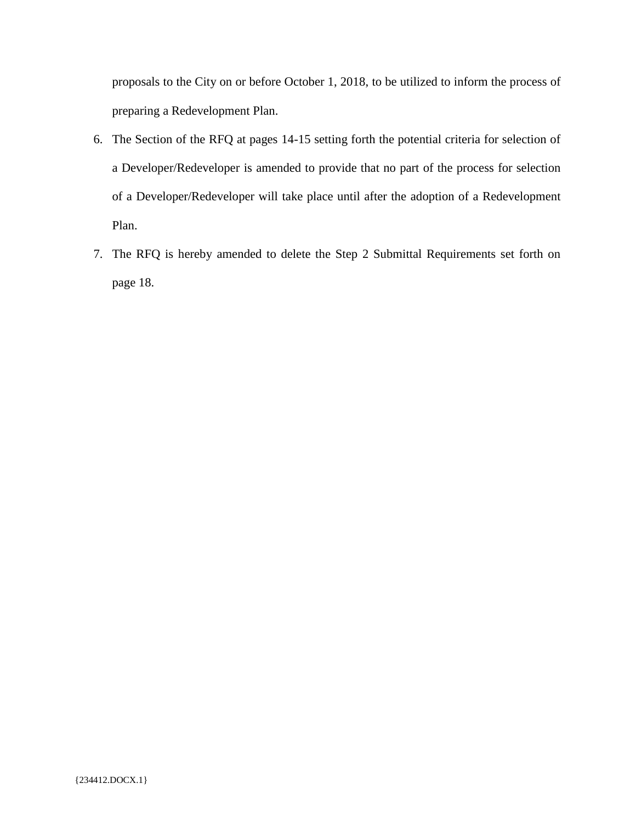proposals to the City on or before October 1, 2018, to be utilized to inform the process of preparing a Redevelopment Plan.

- 6. The Section of the RFQ at pages 14-15 setting forth the potential criteria for selection of a Developer/Redeveloper is amended to provide that no part of the process for selection of a Developer/Redeveloper will take place until after the adoption of a Redevelopment Plan.
- 7. The RFQ is hereby amended to delete the Step 2 Submittal Requirements set forth on page 18.